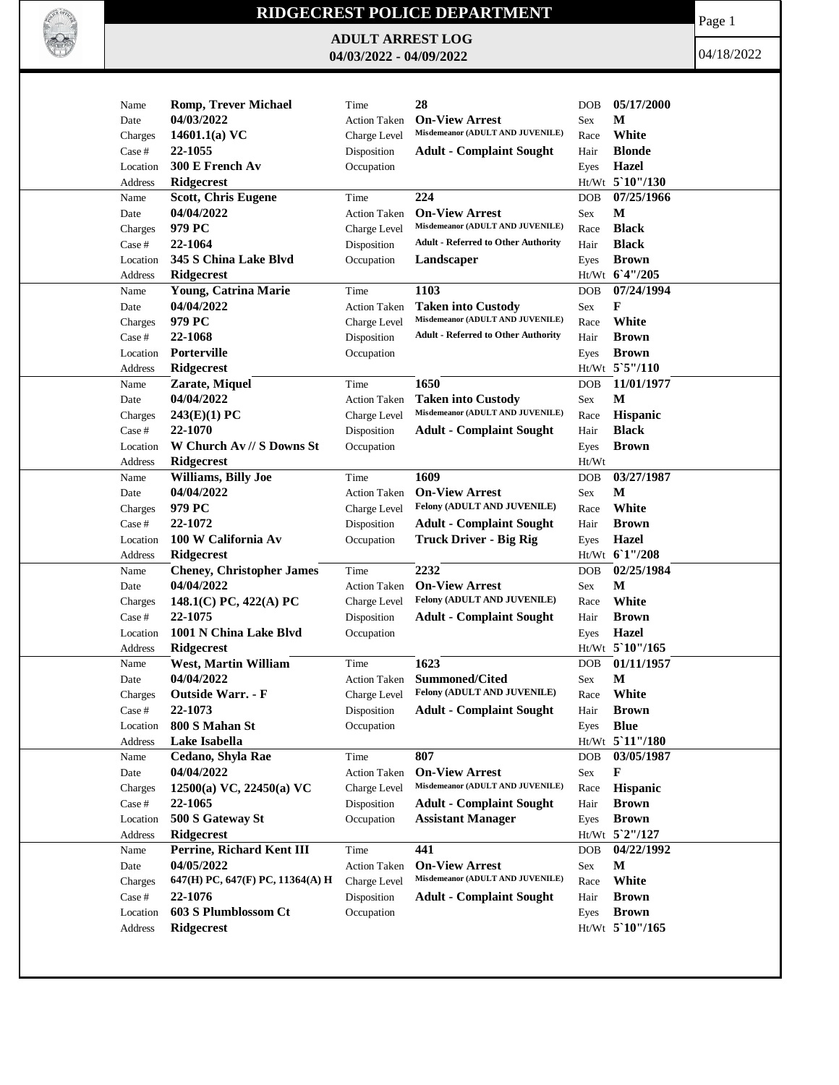

## **RIDGECREST POLICE DEPARTMENT**

**ADULT ARREST LOG 04/03/2022 - 04/09/2022**

Page 1

04/18/2022

| Name     | <b>Romp, Trever Michael</b>      | Time                | 28                                                            | <b>DOB</b> | 05/17/2000        |
|----------|----------------------------------|---------------------|---------------------------------------------------------------|------------|-------------------|
| Date     | 04/03/2022                       | <b>Action Taken</b> | <b>On-View Arrest</b>                                         | Sex        | М                 |
| Charges  | 14601.1(a) $VC$                  | Charge Level        | Misdemeanor (ADULT AND JUVENILE)                              | Race       | White             |
| Case #   | 22-1055                          | Disposition         | <b>Adult - Complaint Sought</b>                               | Hair       | <b>Blonde</b>     |
| Location | 300 E French Av                  | Occupation          |                                                               | Eyes       | Hazel             |
| Address  | <b>Ridgecrest</b>                |                     |                                                               |            | Ht/Wt 5`10"/130   |
| Name     | <b>Scott, Chris Eugene</b>       | Time                | 224                                                           | <b>DOB</b> | 07/25/1966        |
| Date     | 04/04/2022                       | <b>Action Taken</b> | <b>On-View Arrest</b>                                         | Sex        | М                 |
| Charges  | 979 PC                           | Charge Level        | Misdemeanor (ADULT AND JUVENILE)                              | Race       | <b>Black</b>      |
| Case #   | 22-1064                          | Disposition         | <b>Adult - Referred to Other Authority</b>                    | Hair       | <b>Black</b>      |
| Location | 345 S China Lake Blvd            | Occupation          | Landscaper                                                    | Eyes       | <b>Brown</b>      |
| Address  | Ridgecrest                       |                     |                                                               |            | Ht/Wt 6'4"/205    |
|          |                                  |                     |                                                               |            |                   |
| Name     | Young, Catrina Marie             | Time                | 1103                                                          | <b>DOB</b> | 07/24/1994        |
| Date     | 04/04/2022                       | <b>Action Taken</b> | <b>Taken into Custody</b><br>Misdemeanor (ADULT AND JUVENILE) | Sex        | F                 |
| Charges  | 979 PC                           | Charge Level        |                                                               | Race       | White             |
| Case #   | 22-1068                          | Disposition         | <b>Adult - Referred to Other Authority</b>                    | Hair       | <b>Brown</b>      |
| Location | Porterville                      | Occupation          |                                                               | Eyes       | <b>Brown</b>      |
| Address  | <b>Ridgecrest</b>                |                     |                                                               |            | Ht/Wt 5`5"/110    |
| Name     | Zarate, Miquel                   | Time                | 1650                                                          | <b>DOB</b> | 11/01/1977        |
| Date     | 04/04/2022                       | <b>Action Taken</b> | <b>Taken into Custody</b>                                     | Sex        | M                 |
| Charges  | 243(E)(1) PC                     | Charge Level        | Misdemeanor (ADULT AND JUVENILE)                              | Race       | Hispanic          |
| Case #   | 22-1070                          | Disposition         | <b>Adult - Complaint Sought</b>                               | Hair       | <b>Black</b>      |
| Location | W Church Av // S Downs St        | Occupation          |                                                               | Eyes       | <b>Brown</b>      |
| Address  | Ridgecrest                       |                     |                                                               | Ht/Wt      |                   |
| Name     | <b>Williams, Billy Joe</b>       | Time                | 1609                                                          | <b>DOB</b> | 03/27/1987        |
| Date     | 04/04/2022                       | <b>Action Taken</b> | <b>On-View Arrest</b>                                         | Sex        | M                 |
| Charges  | 979 PC                           | Charge Level        | Felony (ADULT AND JUVENILE)                                   | Race       | White             |
| Case #   | 22-1072                          | Disposition         | <b>Adult - Complaint Sought</b>                               | Hair       | <b>Brown</b>      |
|          | 100 W California Av              |                     | <b>Truck Driver - Big Rig</b>                                 |            | <b>Hazel</b>      |
| Location |                                  | Occupation          |                                                               | Eyes       | Ht/Wt 61"/208     |
| Address  | <b>Ridgecrest</b>                |                     |                                                               |            |                   |
| Name     | <b>Cheney, Christopher James</b> | Time                | 2232                                                          | <b>DOB</b> | 02/25/1984        |
| Date     | 04/04/2022                       | <b>Action Taken</b> | <b>On-View Arrest</b>                                         | Sex        | M                 |
| Charges  | 148.1(C) PC, 422(A) PC           | Charge Level        | Felony (ADULT AND JUVENILE)                                   | Race       | White             |
| Case #   | 22-1075                          | Disposition         | <b>Adult - Complaint Sought</b>                               | Hair       | <b>Brown</b>      |
| Location | 1001 N China Lake Blvd           | Occupation          |                                                               | Eyes       | Hazel             |
| Address  | Ridgecrest                       |                     |                                                               |            | Ht/Wt 5 10"/165   |
| Name     | West, Martin William             | Time                | 1623                                                          | <b>DOB</b> | 01/11/1957        |
| Date     | 04/04/2022                       | <b>Action Taken</b> | Summoned/Cited                                                | Sex        | M                 |
| Charges  | <b>Outside Warr. - F</b>         | Charge Level        | <b>Felony (ADULT AND JUVENILE)</b>                            | Race       | White             |
| Case #   | 22-1073                          | Disposition         | <b>Adult - Complaint Sought</b>                               | Hair       | <b>Brown</b>      |
| Location | 800 S Mahan St                   | Occupation          |                                                               | Eyes       | <b>Blue</b>       |
| Address  | Lake Isabella                    |                     |                                                               |            | Ht/Wt 5'11"/180   |
| Name     | Cedano, Shyla Rae                | Time                | 807                                                           | <b>DOB</b> | 03/05/1987        |
| Date     | 04/04/2022                       | Action Taken        | <b>On-View Arrest</b>                                         | Sex        | F                 |
| Charges  | 12500(a) VC, 22450(a) VC         | Charge Level        | Misdemeanor (ADULT AND JUVENILE)                              | Race       | Hispanic          |
| Case #   | 22-1065                          | Disposition         | <b>Adult - Complaint Sought</b>                               | Hair       | <b>Brown</b>      |
| Location | 500 S Gateway St                 | Occupation          | <b>Assistant Manager</b>                                      | Eyes       | <b>Brown</b>      |
| Address  | Ridgecrest                       |                     |                                                               |            | $Ht/Wt$ 5 2"/127  |
| Name     | Perrine, Richard Kent III        | Time                | 441                                                           | DOB        | 04/22/1992        |
|          | 04/05/2022                       |                     | <b>On-View Arrest</b>                                         |            | M                 |
| Date     |                                  | Action Taken        | Misdemeanor (ADULT AND JUVENILE)                              | Sex        | White             |
| Charges  | 647(H) PC, 647(F) PC, 11364(A) H | Charge Level        |                                                               | Race       |                   |
| Case #   | 22-1076                          | Disposition         | <b>Adult - Complaint Sought</b>                               | Hair       | <b>Brown</b>      |
| Location | 603 S Plumblossom Ct             | Occupation          |                                                               | Eyes       | <b>Brown</b>      |
| Address  | Ridgecrest                       |                     |                                                               |            | $Ht/Wt$ 5 10"/165 |
|          |                                  |                     |                                                               |            |                   |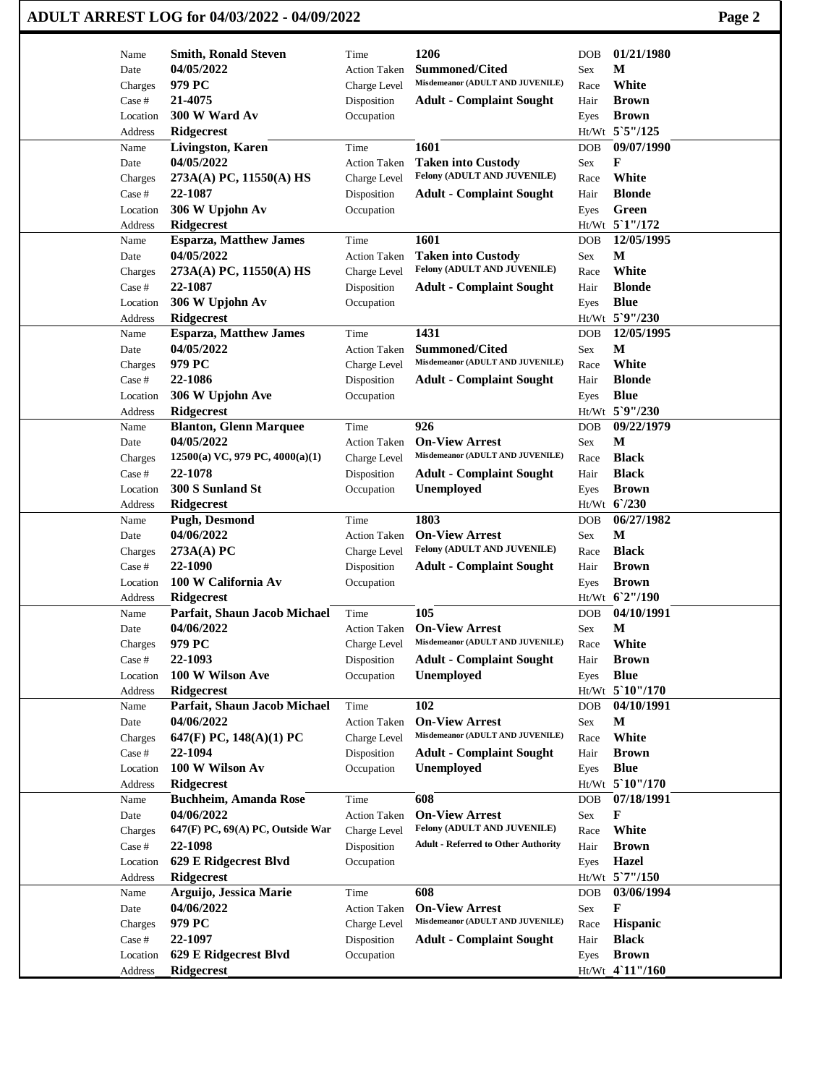| ADULT ARREST LOG for 04/03/2022 - 04/09/2022 | Page 2 |
|----------------------------------------------|--------|
|----------------------------------------------|--------|

|                   | <b>Smith, Ronald Steven</b>          | Time                      | 1206                                       | <b>DOB</b> | 01/21/1980                  |
|-------------------|--------------------------------------|---------------------------|--------------------------------------------|------------|-----------------------------|
| Name<br>Date      | 04/05/2022                           | <b>Action Taken</b>       | <b>Summoned/Cited</b>                      | Sex        | М                           |
| Charges           | 979 PC                               | Charge Level              | Misdemeanor (ADULT AND JUVENILE)           | Race       | White                       |
| Case #            | 21-4075                              | Disposition               | <b>Adult - Complaint Sought</b>            | Hair       | <b>Brown</b>                |
| Location          | 300 W Ward Av                        | Occupation                |                                            | Eyes       | <b>Brown</b>                |
| Address           | <b>Ridgecrest</b>                    |                           |                                            |            | Ht/Wt 5`5"/125              |
| Name              | <b>Livingston, Karen</b>             | Time                      | 1601                                       | <b>DOB</b> | 09/07/1990                  |
| Date              | 04/05/2022                           | <b>Action Taken</b>       | <b>Taken into Custody</b>                  | Sex        | F                           |
| Charges           | 273A(A) PC, 11550(A) HS              | Charge Level              | Felony (ADULT AND JUVENILE)                | Race       | White                       |
| Case #            | 22-1087                              | Disposition               | <b>Adult - Complaint Sought</b>            | Hair       | <b>Blonde</b>               |
| Location          | 306 W Upjohn Av                      | Occupation                |                                            | Eyes       | Green                       |
| Address           | <b>Ridgecrest</b>                    |                           |                                            |            | Ht/Wt 5'1"/172              |
| Name              | <b>Esparza, Matthew James</b>        | Time                      | 1601                                       | <b>DOB</b> | 12/05/1995                  |
| Date              | 04/05/2022                           | <b>Action Taken</b>       | <b>Taken into Custody</b>                  | Sex        | M                           |
| Charges           | 273A(A) PC, 11550(A) HS              | Charge Level              | Felony (ADULT AND JUVENILE)                | Race       | White                       |
| Case #            | 22-1087                              | Disposition               | <b>Adult - Complaint Sought</b>            | Hair       | <b>Blonde</b>               |
| Location          | 306 W Upjohn Av                      | Occupation                |                                            | Eyes       | <b>Blue</b>                 |
| Address           | <b>Ridgecrest</b>                    |                           |                                            |            | Ht/Wt 5`9"/230              |
| Name              | <b>Esparza, Matthew James</b>        | Time                      | 1431                                       | <b>DOB</b> | 12/05/1995                  |
| Date              | 04/05/2022                           | <b>Action Taken</b>       | <b>Summoned/Cited</b>                      | Sex        | $\mathbf{M}$                |
| Charges           | 979 PC                               | Charge Level              | Misdemeanor (ADULT AND JUVENILE)           | Race       | White                       |
| Case #            | 22-1086                              | Disposition               | <b>Adult - Complaint Sought</b>            | Hair       | <b>Blonde</b>               |
| Location          | 306 W Upjohn Ave                     | Occupation                |                                            | Eyes       | <b>Blue</b>                 |
| Address           | <b>Ridgecrest</b>                    |                           |                                            |            | Ht/Wt 5`9"/230              |
| Name              | <b>Blanton, Glenn Marquee</b>        | Time                      | 926                                        | <b>DOB</b> | 09/22/1979                  |
| Date              | 04/05/2022                           | <b>Action Taken</b>       | <b>On-View Arrest</b>                      | Sex        | М                           |
| Charges           | 12500(a) VC, 979 PC, 4000(a)(1)      | Charge Level              | Misdemeanor (ADULT AND JUVENILE)           | Race       | <b>Black</b>                |
| Case #            | 22-1078                              | Disposition               | <b>Adult - Complaint Sought</b>            | Hair       | <b>Black</b>                |
| Location          | 300 S Sunland St                     | Occupation                | Unemployed                                 | Eyes       | <b>Brown</b><br>Ht/Wt 6/230 |
| Address<br>Name   | <b>Ridgecrest</b><br>Pugh, Desmond   | Time                      | 1803                                       | <b>DOB</b> | 06/27/1982                  |
| Date              | 04/06/2022                           | <b>Action Taken</b>       | <b>On-View Arrest</b>                      | Sex        | M                           |
| Charges           | 273A(A) PC                           | Charge Level              | Felony (ADULT AND JUVENILE)                | Race       | <b>Black</b>                |
| Case #            | 22-1090                              | Disposition               | <b>Adult - Complaint Sought</b>            | Hair       | <b>Brown</b>                |
| Location          | 100 W California Av                  | Occupation                |                                            | Eyes       | <b>Brown</b>                |
| Address           | <b>Ridgecrest</b>                    |                           |                                            |            | Ht/Wt 6'2"/190              |
| Name              | Parfait, Shaun Jacob Michael         | Time                      | 105                                        | <b>DOB</b> | 04/10/1991                  |
| Date              | 04/06/2022                           | <b>Action Taken</b>       | <b>On-View Arrest</b>                      | Sex        | $\mathbf{M}$                |
| Charges           | 979 PC                               | Charge Level              | Misdemeanor (ADULT AND JUVENILE)           | Race       | White                       |
| Case #            | 22-1093                              | Disposition               | <b>Adult - Complaint Sought</b>            | Hair       | <b>Brown</b>                |
| Location          | 100 W Wilson Ave                     | Occupation                | Unemployed                                 | Eyes       | <b>Blue</b>                 |
| Address           | <b>Ridgecrest</b>                    |                           |                                            |            | Ht/Wt 5`10"/170             |
| Name              | Parfait, Shaun Jacob Michael         | Time                      | 102                                        | DOB        | 04/10/1991                  |
| Date              | 04/06/2022                           | <b>Action Taken</b>       | <b>On-View Arrest</b>                      | Sex        | M                           |
| Charges           | 647(F) PC, $148(A)(1)$ PC            | Charge Level              | Misdemeanor (ADULT AND JUVENILE)           | Race       | White                       |
| Case #            | 22-1094                              | Disposition               | <b>Adult - Complaint Sought</b>            | Hair       | <b>Brown</b>                |
| Location          | 100 W Wilson Av                      | Occupation                | Unemployed                                 | Eyes       | <b>Blue</b>                 |
| Address           | <b>Ridgecrest</b>                    |                           |                                            |            | Ht/Wt 5`10"/170             |
| Name              | <b>Buchheim, Amanda Rose</b>         | Time                      | 608                                        | DOB        | 07/18/1991                  |
| Date              | 04/06/2022                           | <b>Action Taken</b>       | <b>On-View Arrest</b>                      | Sex        | F                           |
| Charges           | 647(F) PC, 69(A) PC, Outside War     | Charge Level              | Felony (ADULT AND JUVENILE)                | Race       | White                       |
| Case #            | 22-1098                              | Disposition               | <b>Adult - Referred to Other Authority</b> | Hair       | <b>Brown</b>                |
| Location          | 629 E Ridgecrest Blvd                | Occupation                |                                            | Eyes       | Hazel                       |
| Address           | Ridgecrest                           |                           | 608                                        |            | Ht/Wt 5'7"/150              |
| Name              | Arguijo, Jessica Marie<br>04/06/2022 | Time                      | <b>On-View Arrest</b>                      | <b>DOB</b> | 03/06/1994<br>F             |
| Date              | 979 PC                               | <b>Action Taken</b>       | Misdemeanor (ADULT AND JUVENILE)           | Sex        | Hispanic                    |
| Charges<br>Case # | 22-1097                              | Charge Level              |                                            | Race       | <b>Black</b>                |
| Location          | 629 E Ridgecrest Blvd                | Disposition<br>Occupation | <b>Adult - Complaint Sought</b>            | Hair       | <b>Brown</b>                |
| Address           | <b>Ridgecrest</b>                    |                           |                                            | Eyes       | Ht/Wt 4`11"/160             |
|                   |                                      |                           |                                            |            |                             |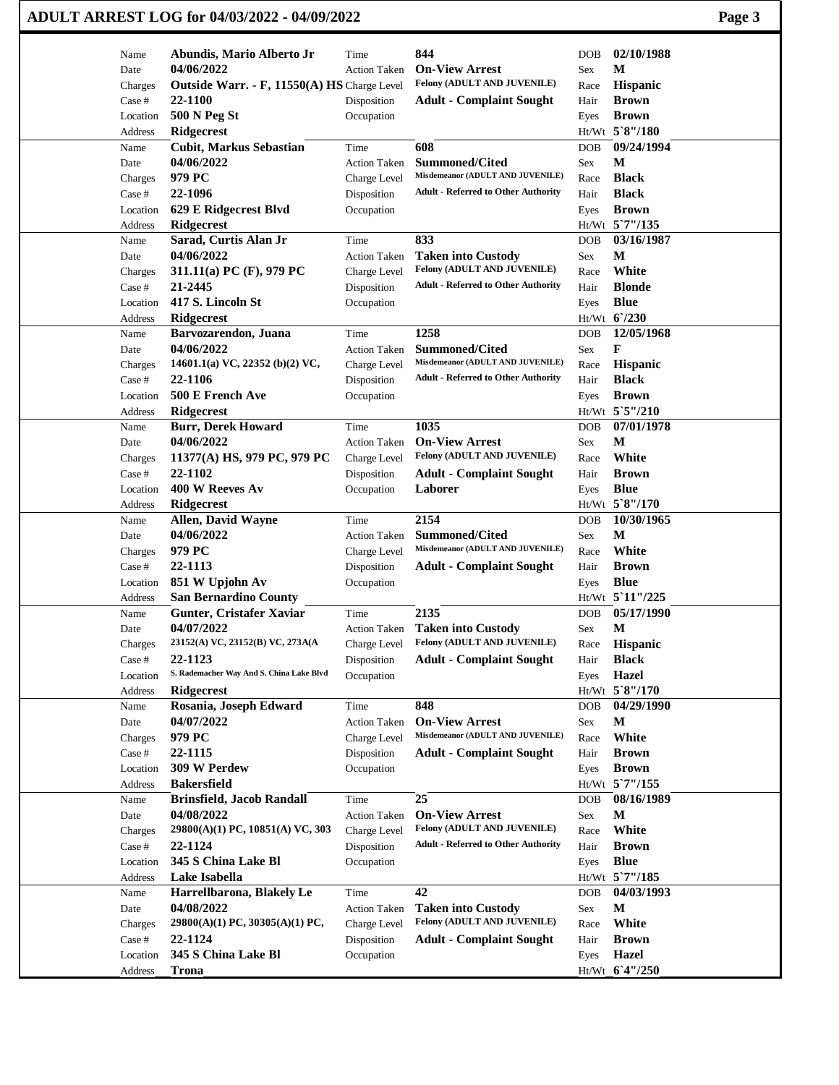|          | ADULT ARREST LOG for 04/03/2022 - 04/09/2022 |                     |                                            |                          | Page 3 |
|----------|----------------------------------------------|---------------------|--------------------------------------------|--------------------------|--------|
| Name     | Abundis, Mario Alberto Jr                    | Time                | 844                                        | 02/10/1988<br><b>DOB</b> |        |
| Date     | 04/06/2022                                   | <b>Action Taken</b> | <b>On-View Arrest</b>                      | М<br>Sex                 |        |
| Charges  | Outside Warr. - F, 11550(A) HS Charge Level  |                     | Felony (ADULT AND JUVENILE)                | Hispanic<br>Race         |        |
| Case #   | 22-1100                                      | Disposition         | <b>Adult - Complaint Sought</b>            | <b>Brown</b><br>Hair     |        |
| Location | <b>500 N Peg St</b>                          | Occupation          |                                            | <b>Brown</b><br>Eyes     |        |
| Address  | Ridgecrest                                   |                     |                                            | Ht/Wt 5`8"/180           |        |
| Name     | <b>Cubit, Markus Sebastian</b>               | Time                | 608                                        | 09/24/1994<br><b>DOB</b> |        |
| Date     | 04/06/2022                                   | <b>Action Taken</b> | <b>Summoned/Cited</b>                      | М<br>Sex                 |        |
| Charges  | 979 PC                                       | Charge Level        | Misdemeanor (ADULT AND JUVENILE)           | <b>Black</b><br>Race     |        |
| Case #   | 22-1096                                      | Disposition         | <b>Adult - Referred to Other Authority</b> | <b>Black</b><br>Hair     |        |
| Location | 629 E Ridgecrest Blvd                        | Occupation          |                                            | <b>Brown</b><br>Eyes     |        |
| Address  | <b>Ridgecrest</b>                            |                     |                                            | Ht/Wt 5`7"/135           |        |
| Name     | Sarad, Curtis Alan Jr                        | Time                | 833                                        | 03/16/1987<br><b>DOB</b> |        |
| Date     | 04/06/2022                                   | <b>Action Taken</b> | <b>Taken into Custody</b>                  | M<br>Sex                 |        |
| Charges  | 311.11(a) PC $(F)$ , 979 PC                  | Charge Level        | Felony (ADULT AND JUVENILE)                | White<br>Race            |        |
| Case #   | 21-2445                                      | Disposition         | <b>Adult - Referred to Other Authority</b> | <b>Blonde</b><br>Hair    |        |
| Location | 417 S. Lincoln St                            | Occupation          |                                            | <b>Blue</b><br>Eyes      |        |
| Address  | Ridgecrest                                   |                     |                                            | Ht/Wt 6'/230             |        |
| Name     | Barvozarendon, Juana                         | Time                | 1258                                       | 12/05/1968<br><b>DOB</b> |        |
| Date     | 04/06/2022                                   | <b>Action Taken</b> | <b>Summoned/Cited</b>                      | F<br>Sex                 |        |
| Charges  | 14601.1(a) VC, 22352 (b)(2) VC,              | Charge Level        | Misdemeanor (ADULT AND JUVENILE)           | Hispanic<br>Race         |        |
| Case #   | 22-1106                                      | Disposition         | <b>Adult - Referred to Other Authority</b> | <b>Black</b><br>Hair     |        |
| Location | 500 E French Ave                             | Occupation          |                                            | <b>Brown</b><br>Eyes     |        |
| Address  | Ridgecrest                                   |                     |                                            | Ht/Wt 5`5"/210           |        |
| Name     | <b>Burr, Derek Howard</b>                    | Time                | 1035                                       | 07/01/1978<br><b>DOB</b> |        |
| Date     | 04/06/2022                                   | <b>Action Taken</b> | <b>On-View Arrest</b>                      | M<br>Sex                 |        |
| Charges  | 11377(A) HS, 979 PC, 979 PC                  | Charge Level        | Felony (ADULT AND JUVENILE)                | White<br>Race            |        |
| Case #   | 22-1102                                      | Disposition         | <b>Adult - Complaint Sought</b>            | <b>Brown</b><br>Hair     |        |
| Location | 400 W Reeves Av                              | Occupation          | Laborer                                    | <b>Blue</b><br>Eyes      |        |
| Address  | Ridgecrest                                   |                     |                                            | Ht/Wt 5`8"/170           |        |
| Name     | Allen, David Wayne                           | Time                | 2154                                       | 10/30/1965<br><b>DOB</b> |        |
| Date     | 04/06/2022                                   | <b>Action Taken</b> | <b>Summoned/Cited</b>                      | М<br>Sex                 |        |
| Charges  | 979 PC                                       | Charge Level        | Misdemeanor (ADULT AND JUVENILE)           | White<br>Race            |        |
| Case #   | 22-1113                                      | Disposition         | <b>Adult - Complaint Sought</b>            | <b>Brown</b><br>Hair     |        |
| Location | 851 W Upjohn Av                              | Occupation          |                                            | <b>Blue</b><br>Eyes      |        |
| Address  | <b>San Bernardino County</b>                 |                     |                                            | Ht/Wt 5'11"/225          |        |
| Name     | Gunter, Cristafer Xaviar                     | Time                | 2135                                       | 05/17/1990<br>DOB        |        |
| Date     | 04/07/2022                                   | <b>Action Taken</b> | <b>Taken into Custody</b>                  | $\mathbf M$<br>Sex       |        |
| Charges  | 23152(A) VC, 23152(B) VC, 273A(A             | Charge Level        | Felony (ADULT AND JUVENILE)                | Hispanic<br>Race         |        |
| Case #   | 22-1123                                      | Disposition         | <b>Adult - Complaint Sought</b>            | <b>Black</b><br>Hair     |        |
| Location | S. Rademacher Way And S. China Lake Blvd     | Occupation          |                                            | Hazel<br>Eyes            |        |
| Address  | Ridgecrest                                   |                     |                                            | Ht/Wt 5`8"/170           |        |
| Name     | Rosania, Joseph Edward                       | Time                | 848                                        | 04/29/1990<br><b>DOB</b> |        |
| Date     | 04/07/2022                                   | <b>Action Taken</b> | <b>On-View Arrest</b>                      | M<br>Sex                 |        |
| Charges  | 979 PC                                       | Charge Level        | Misdemeanor (ADULT AND JUVENILE)           | White<br>Race            |        |
| Case #   | 22-1115                                      | Disposition         | <b>Adult - Complaint Sought</b>            | <b>Brown</b><br>Hair     |        |
| Location | 309 W Perdew                                 | Occupation          |                                            | <b>Brown</b><br>Eyes     |        |
| Address  | <b>Bakersfield</b>                           |                     |                                            | Ht/Wt 5'7"/155           |        |
| Name     | <b>Brinsfield, Jacob Randall</b>             | Time                | 25                                         | 08/16/1989<br><b>DOB</b> |        |
| Date     | 04/08/2022                                   | <b>Action Taken</b> | <b>On-View Arrest</b>                      | M<br>Sex                 |        |
| Charges  | 29800(A)(1) PC, 10851(A) VC, 303             | Charge Level        | Felony (ADULT AND JUVENILE)                | White<br>Race            |        |
| Case #   | 22-1124                                      | Disposition         | <b>Adult - Referred to Other Authority</b> | <b>Brown</b><br>Hair     |        |
| Location | 345 S China Lake Bl                          | Occupation          |                                            | <b>Blue</b><br>Eyes      |        |
| Address  | Lake Isabella                                |                     |                                            | Ht/Wt 5'7"/185           |        |
| Name     | Harrellbarona, Blakely Le                    | Time                | 42                                         | 04/03/1993<br><b>DOB</b> |        |
| Date     | 04/08/2022                                   | <b>Action Taken</b> | <b>Taken into Custody</b>                  | М<br>Sex                 |        |
| Charges  | 29800(A)(1) PC, 30305(A)(1) PC,              | Charge Level        | Felony (ADULT AND JUVENILE)                | White<br>Race            |        |
| Case #   | 22-1124                                      | Disposition         | <b>Adult - Complaint Sought</b>            | <b>Brown</b><br>Hair     |        |
| Location | 345 S China Lake Bl                          | Occupation          |                                            | Hazel<br>Eyes            |        |
| Address  | <b>Trona</b>                                 |                     |                                            | Ht/Wt 6'4"/250           |        |
|          |                                              |                     |                                            |                          |        |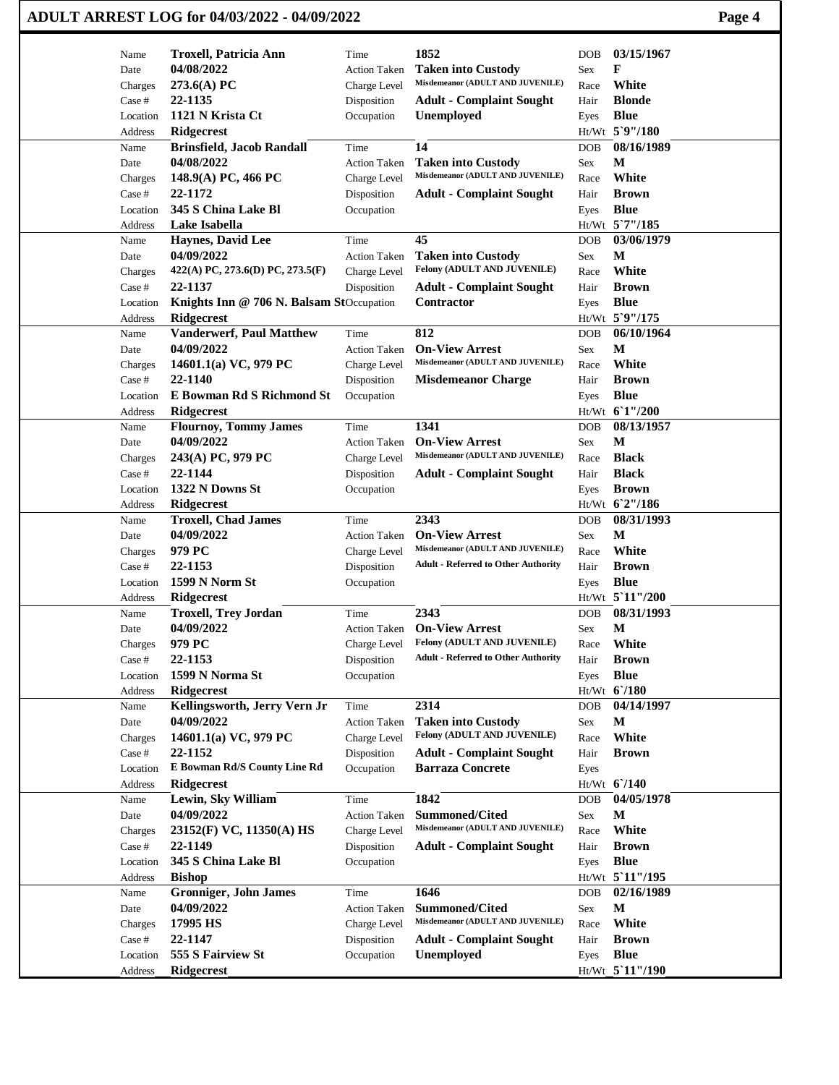|                     | ADULT ARREST LOG for 04/03/2022 - 04/09/2022                   |                                     |                                                          |              |                               | Page 4 |
|---------------------|----------------------------------------------------------------|-------------------------------------|----------------------------------------------------------|--------------|-------------------------------|--------|
| Name                | <b>Troxell, Patricia Ann</b>                                   | Time                                | 1852                                                     | DOB          | 03/15/1967                    |        |
| Date                | 04/08/2022                                                     | <b>Action Taken</b>                 | <b>Taken into Custody</b>                                | Sex          | F                             |        |
| Charges             | 273.6(A) PC                                                    | Charge Level                        | Misdemeanor (ADULT AND JUVENILE)                         | Race         | White                         |        |
| Case #              | 22-1135<br>1121 N Krista Ct                                    | Disposition                         | <b>Adult - Complaint Sought</b>                          | Hair         | <b>Blonde</b><br><b>Blue</b>  |        |
| Location<br>Address | <b>Ridgecrest</b>                                              | Occupation                          | Unemployed                                               | Eyes         | Ht/Wt 5`9"/180                |        |
| Name                | <b>Brinsfield, Jacob Randall</b>                               | Time                                | 14                                                       | <b>DOB</b>   | 08/16/1989                    |        |
| Date                | 04/08/2022                                                     | <b>Action Taken</b>                 | <b>Taken into Custody</b>                                | Sex          | M                             |        |
| Charges             | 148.9(A) PC, 466 PC                                            | Charge Level                        | Misdemeanor (ADULT AND JUVENILE)                         | Race         | White                         |        |
| Case #              | 22-1172                                                        | Disposition                         | <b>Adult - Complaint Sought</b>                          | Hair         | <b>Brown</b>                  |        |
| Location            | 345 S China Lake Bl                                            | Occupation                          |                                                          | Eyes         | <b>Blue</b>                   |        |
| Address             | Lake Isabella                                                  |                                     |                                                          |              | Ht/Wt 5'7"/185                |        |
| Name                | <b>Haynes, David Lee</b>                                       | Time                                | 45                                                       | DOB          | 03/06/1979                    |        |
| Date                | 04/09/2022                                                     | <b>Action Taken</b>                 | <b>Taken into Custody</b>                                | Sex          | M                             |        |
| Charges             | $422(A)$ PC, 273.6(D) PC, 273.5(F)                             | Charge Level                        | Felony (ADULT AND JUVENILE)                              | Race         | White                         |        |
| Case #              | 22-1137                                                        | Disposition                         | <b>Adult - Complaint Sought</b>                          | Hair         | <b>Brown</b>                  |        |
| Location<br>Address | Knights Inn $@706$ N. Balsam StOccupation<br><b>Ridgecrest</b> |                                     | <b>Contractor</b>                                        | Eyes         | <b>Blue</b><br>Ht/Wt 5`9"/175 |        |
| Name                | <b>Vanderwerf, Paul Matthew</b>                                | Time                                | 812                                                      | DOB          | 06/10/1964                    |        |
| Date                | 04/09/2022                                                     | <b>Action Taken</b>                 | <b>On-View Arrest</b>                                    | Sex          | M                             |        |
| Charges             | 14601.1(a) VC, 979 PC                                          | Charge Level                        | Misdemeanor (ADULT AND JUVENILE)                         | Race         | White                         |        |
| Case #              | 22-1140                                                        | Disposition                         | <b>Misdemeanor Charge</b>                                | Hair         | <b>Brown</b>                  |        |
| Location            | E Bowman Rd S Richmond St                                      | Occupation                          |                                                          | Eyes         | <b>Blue</b>                   |        |
| Address             | <b>Ridgecrest</b>                                              |                                     |                                                          |              | Ht/Wt 6'1"/200                |        |
| Name                | <b>Flournoy, Tommy James</b>                                   | Time                                | 1341                                                     | DOB          | 08/13/1957                    |        |
| Date                | 04/09/2022                                                     | <b>Action Taken</b>                 | <b>On-View Arrest</b>                                    | Sex          | М                             |        |
| Charges             | 243(A) PC, 979 PC                                              | Charge Level                        | Misdemeanor (ADULT AND JUVENILE)                         | Race         | <b>Black</b>                  |        |
| Case #              | 22-1144                                                        | Disposition                         | <b>Adult - Complaint Sought</b>                          | Hair         | <b>Black</b>                  |        |
| Location            | 1322 N Downs St                                                | Occupation                          |                                                          | Eyes         | <b>Brown</b>                  |        |
| Address             | <b>Ridgecrest</b>                                              |                                     |                                                          |              | Ht/Wt 6'2"/186                |        |
| Name                | <b>Troxell, Chad James</b><br>04/09/2022                       | Time                                | 2343<br><b>On-View Arrest</b>                            | DOB          | 08/31/1993<br>M               |        |
| Date<br>Charges     | 979 PC                                                         | <b>Action Taken</b><br>Charge Level | Misdemeanor (ADULT AND JUVENILE)                         | Sex<br>Race  | White                         |        |
| Case #              | 22-1153                                                        | Disposition                         | <b>Adult - Referred to Other Authority</b>               | Hair         | <b>Brown</b>                  |        |
| Location            | 1599 N Norm St                                                 | Occupation                          |                                                          | Eyes         | <b>Blue</b>                   |        |
| Address             | <b>Ridgecrest</b>                                              |                                     |                                                          |              | Ht/Wt 5 11"/200               |        |
| Name                | <b>Troxell, Trey Jordan</b>                                    | Time                                | 2343                                                     | DOB          | 08/31/1993                    |        |
| Date                | 04/09/2022                                                     | Action Taken                        | <b>On-View Arrest</b>                                    | Sex          | $\mathbf M$                   |        |
| Charges             | 979 PC                                                         | Charge Level                        | Felony (ADULT AND JUVENILE)                              | Race         | White                         |        |
| Case #              | 22-1153                                                        | Disposition                         | <b>Adult - Referred to Other Authority</b>               | Hair         | <b>Brown</b>                  |        |
| Location            | 1599 N Norma St                                                | Occupation                          |                                                          | Eyes         | <b>Blue</b>                   |        |
| Address             | <b>Ridgecrest</b>                                              |                                     |                                                          |              | Ht/Wt 6'/180                  |        |
| Name                | Kellingsworth, Jerry Vern Jr                                   | Time                                | 2314                                                     | DOB          | 04/14/1997                    |        |
| Date                | 04/09/2022                                                     | <b>Action Taken</b>                 | <b>Taken into Custody</b><br>Felony (ADULT AND JUVENILE) | Sex          | M<br>White                    |        |
| Charges<br>Case #   | 14601.1(a) VC, 979 PC<br>22-1152                               | Charge Level<br>Disposition         | <b>Adult - Complaint Sought</b>                          | Race<br>Hair | <b>Brown</b>                  |        |
| Location            | E Bowman Rd/S County Line Rd                                   | Occupation                          | <b>Barraza Concrete</b>                                  | Eyes         |                               |        |
| Address             | <b>Ridgecrest</b>                                              |                                     |                                                          |              | $Ht/Wt$ 6/140                 |        |
| Name                | Lewin, Sky William                                             | Time                                | 1842                                                     | DOB          | 04/05/1978                    |        |
| Date                | 04/09/2022                                                     | <b>Action Taken</b>                 | <b>Summoned/Cited</b>                                    | Sex          | M                             |        |
| Charges             | 23152(F) VC, 11350(A) HS                                       | Charge Level                        | Misdemeanor (ADULT AND JUVENILE)                         | Race         | White                         |        |
| Case #              | 22-1149                                                        | Disposition                         | <b>Adult - Complaint Sought</b>                          | Hair         | <b>Brown</b>                  |        |
| Location            | 345 S China Lake Bl                                            | Occupation                          |                                                          | Eyes         | <b>Blue</b>                   |        |
| Address             | <b>Bishop</b>                                                  |                                     |                                                          |              | Ht/Wt 5'11"/195               |        |
| Name                | <b>Gronniger, John James</b>                                   | Time                                | 1646                                                     | DOB          | 02/16/1989                    |        |
| Date                | 04/09/2022                                                     | <b>Action Taken</b>                 | <b>Summoned/Cited</b>                                    | Sex          | $\mathbf{M}$                  |        |
| Charges             | 17995 HS                                                       | Charge Level                        | Misdemeanor (ADULT AND JUVENILE)                         | Race         | White                         |        |
| Case #              | 22-1147                                                        | Disposition                         | <b>Adult - Complaint Sought</b>                          | Hair         | <b>Brown</b>                  |        |
| Location            | 555 S Fairview St                                              | Occupation                          | Unemployed                                               | Eyes         | <b>Blue</b>                   |        |
| Address             | Ridgecrest                                                     |                                     |                                                          |              | Ht/Wt 5'11"/190               |        |

 $\mathbf{I}$